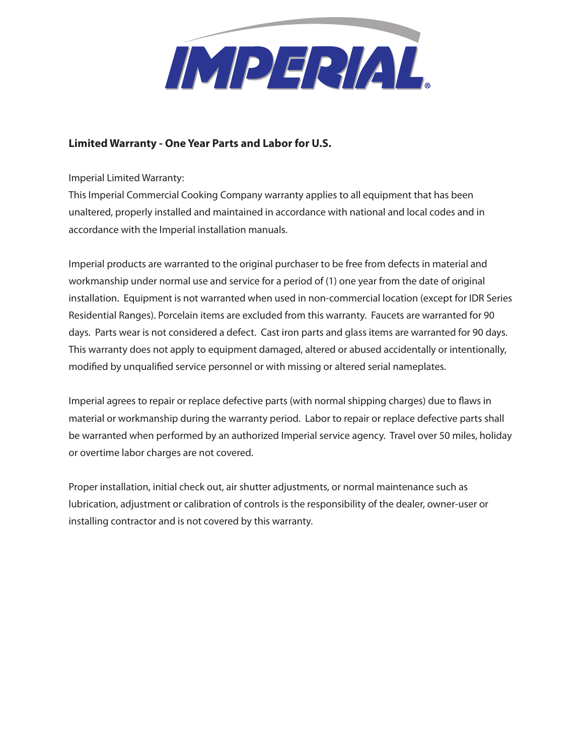

## **Limited Warranty - One Year Parts and Labor for U.S.**

Imperial Limited Warranty:

This Imperial Commercial Cooking Company warranty applies to all equipment that has been unaltered, properly installed and maintained in accordance with national and local codes and in accordance with the Imperial installation manuals.

Imperial products are warranted to the original purchaser to be free from defects in material and workmanship under normal use and service for a period of (1) one year from the date of original installation. Equipment is not warranted when used in non-commercial location (except for IDR Series Residential Ranges). Porcelain items are excluded from this warranty. Faucets are warranted for 90 days. Parts wear is not considered a defect. Cast iron parts and glass items are warranted for 90 days. This warranty does not apply to equipment damaged, altered or abused accidentally or intentionally, modified by unqualified service personnel or with missing or altered serial nameplates.

Imperial agrees to repair or replace defective parts (with normal shipping charges) due to flaws in material or workmanship during the warranty period. Labor to repair or replace defective parts shall be warranted when performed by an authorized Imperial service agency. Travel over 50 miles, holiday or overtime labor charges are not covered.

Proper installation, initial check out, air shutter adjustments, or normal maintenance such as lubrication, adjustment or calibration of controls is the responsibility of the dealer, owner-user or installing contractor and is not covered by this warranty.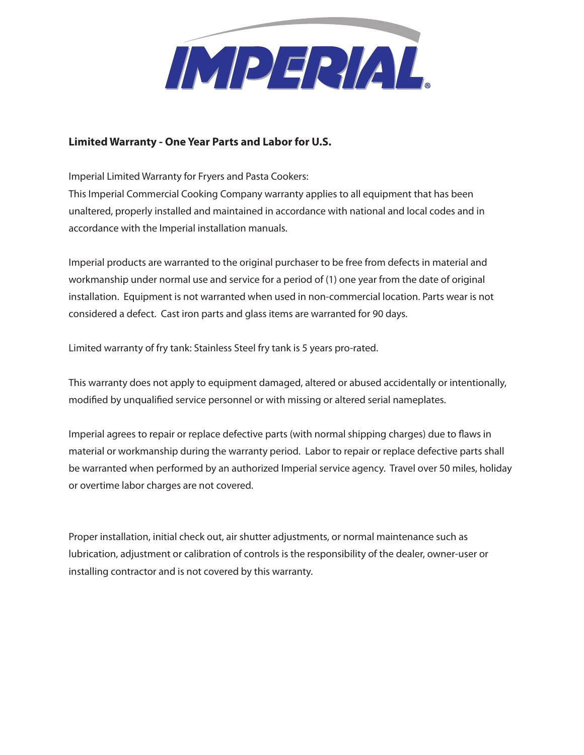

## **Limited Warranty - One Year Parts and Labor for U.S.**

Imperial Limited Warranty for Fryers and Pasta Cookers:

This Imperial Commercial Cooking Company warranty applies to all equipment that has been unaltered, properly installed and maintained in accordance with national and local codes and in accordance with the Imperial installation manuals.

Imperial products are warranted to the original purchaser to be free from defects in material and workmanship under normal use and service for a period of (1) one year from the date of original installation. Equipment is not warranted when used in non-commercial location. Parts wear is not considered a defect. Cast iron parts and glass items are warranted for 90 days.

Limited warranty of fry tank: Stainless Steel fry tank is 5 years pro-rated.

This warranty does not apply to equipment damaged, altered or abused accidentally or intentionally, modified by unqualified service personnel or with missing or altered serial nameplates.

Imperial agrees to repair or replace defective parts (with normal shipping charges) due to flaws in material or workmanship during the warranty period. Labor to repair or replace defective parts shall be warranted when performed by an authorized Imperial service agency. Travel over 50 miles, holiday or overtime labor charges are not covered.

Proper installation, initial check out, air shutter adjustments, or normal maintenance such as lubrication, adjustment or calibration of controls is the responsibility of the dealer, owner-user or installing contractor and is not covered by this warranty.